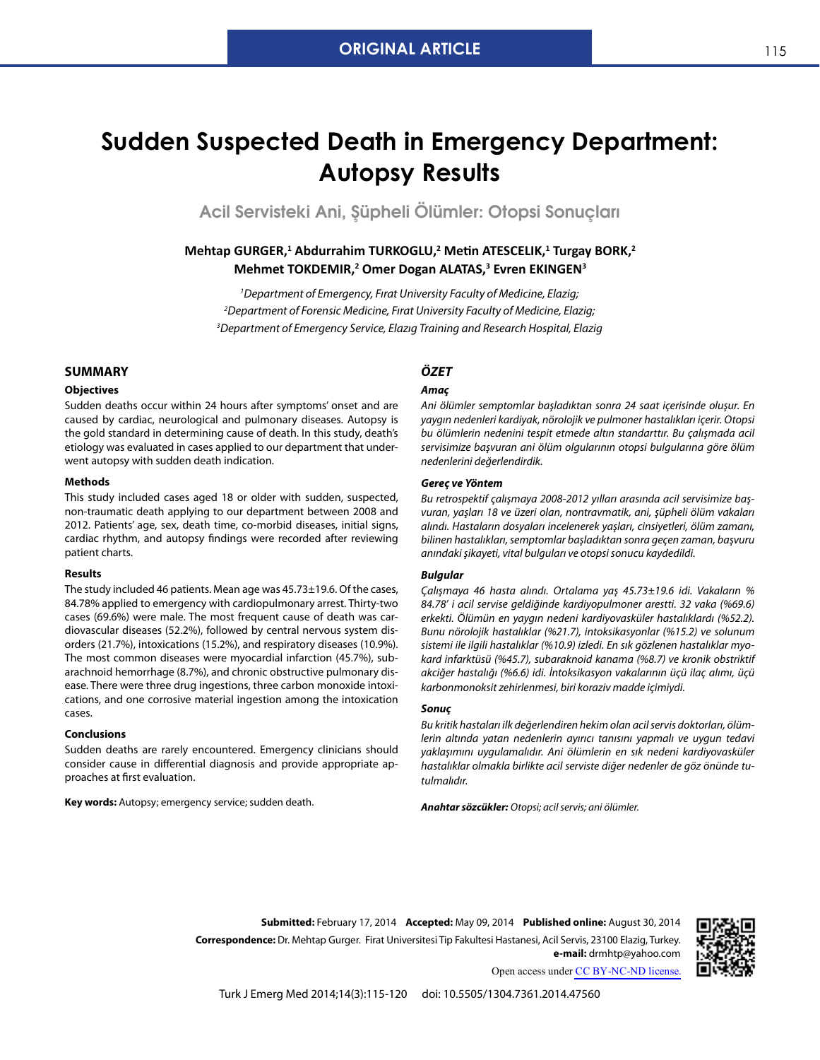# **Sudden Suspected Death in Emergency Department: Autopsy Results**

**Acil Servisteki Ani, Şüpheli Ölümler: Otopsi Sonuçları**

## $M$ ehtap GURGER,<sup>1</sup> Abdurrahim TURKOGLU,<sup>2</sup> Metin ATESCELIK,<sup>1</sup> Turgay BORK,<sup>2</sup> **Mehmet TOKDEMIR,<sup>2</sup> Omer Dogan ALATAS,<sup>3</sup> Evren EKINGEN<sup>3</sup>**

*1 Department of Emergency, Fırat University Faculty of Medicine, Elazig; 2 Department of Forensic Medicine, Fırat University Faculty of Medicine, Elazig; 3 Department of Emergency Service, Elazıg Training and Research Hospital, Elazig*

#### **SUMMARY**

#### **Objectives**

Sudden deaths occur within 24 hours after symptoms' onset and are caused by cardiac, neurological and pulmonary diseases. Autopsy is the gold standard in determining cause of death. In this study, death's etiology was evaluated in cases applied to our department that underwent autopsy with sudden death indication.

#### **Methods**

This study included cases aged 18 or older with sudden, suspected, non-traumatic death applying to our department between 2008 and 2012. Patients' age, sex, death time, co-morbid diseases, initial signs, cardiac rhythm, and autopsy findings were recorded after reviewing patient charts.

#### **Results**

The study included 46 patients. Mean age was 45.73±19.6. Of the cases, 84.78% applied to emergency with cardiopulmonary arrest. Thirty-two cases (69.6%) were male. The most frequent cause of death was cardiovascular diseases (52.2%), followed by central nervous system disorders (21.7%), intoxications (15.2%), and respiratory diseases (10.9%). The most common diseases were myocardial infarction (45.7%), subarachnoid hemorrhage (8.7%), and chronic obstructive pulmonary disease. There were three drug ingestions, three carbon monoxide intoxications, and one corrosive material ingestion among the intoxication cases.

#### **Conclusions**

Sudden deaths are rarely encountered. Emergency clinicians should consider cause in differential diagnosis and provide appropriate approaches at first evaluation.

**Key words:** Autopsy; emergency service; sudden death.

## *ÖZET*

#### *Amaç*

*Ani ölümler semptomlar başladıktan sonra 24 saat içerisinde oluşur. En yaygın nedenleri kardiyak, nörolojik ve pulmoner hastalıkları içerir. Otopsi bu ölümlerin nedenini tespit etmede altın standarttır. Bu çalışmada acil servisimize başvuran ani ölüm olgularının otopsi bulgularına göre ölüm nedenlerini değerlendirdik.*

#### *Gereç ve Yöntem*

*Bu retrospektif çalışmaya 2008-2012 yılları arasında acil servisimize başvuran, yaşları 18 ve üzeri olan, nontravmatik, ani, şüpheli ölüm vakaları alındı. Hastaların dosyaları incelenerek yaşları, cinsiyetleri, ölüm zamanı, bilinen hastalıkları, semptomlar başladıktan sonra geçen zaman, başvuru anındaki şikayeti, vital bulguları ve otopsi sonucu kaydedildi.*

#### *Bulgular*

*Çalışmaya 46 hasta alındı. Ortalama yaş 45.73±19.6 idi. Vakaların % 84.78' i acil servise geldiğinde kardiyopulmoner arestti. 32 vaka (%69.6) erkekti. Ölümün en yaygın nedeni kardiyovasküler hastalıklardı (%52.2). Bunu nörolojik hastalıklar (%21.7), intoksikasyonlar (%15.2) ve solunum sistemi ile ilgili hastalıklar (%10.9) izledi. En sık gözlenen hastalıklar myokard infarktüsü (%45.7), subaraknoid kanama (%8.7) ve kronik obstriktif akciğer hastalığı (%6.6) idi. İntoksikasyon vakalarının üçü ilaç alımı, üçü karbonmonoksit zehirlenmesi, biri koraziv madde içimiydi.*

#### *Sonuç*

*Bu kritik hastaları ilk değerlendiren hekim olan acil servis doktorları, ölümlerin altında yatan nedenlerin ayırıcı tanısını yapmalı ve uygun tedavi yaklaşımını uygulamalıdır. Ani ölümlerin en sık nedeni kardiyovasküler hastalıklar olmakla birlikte acil serviste diğer nedenler de göz önünde tutulmalıdır.*

*Anahtar sözcükler: Otopsi; acil servis; ani ölümler.*

**Submitted:** February 17, 2014 **Accepted:** May 09, 2014 **Published online:** August 30, 2014 **Correspondence:** Dr. Mehtap Gurger. Firat Universitesi Tip Fakultesi Hastanesi, Acil Servis, 23100 Elazig, Turkey. **e-mail:** drmhtp@yahoo.com



Open access under [CC BY-NC-ND license.](http://creativecommons.org/licenses/by-nc-nd/4.0/)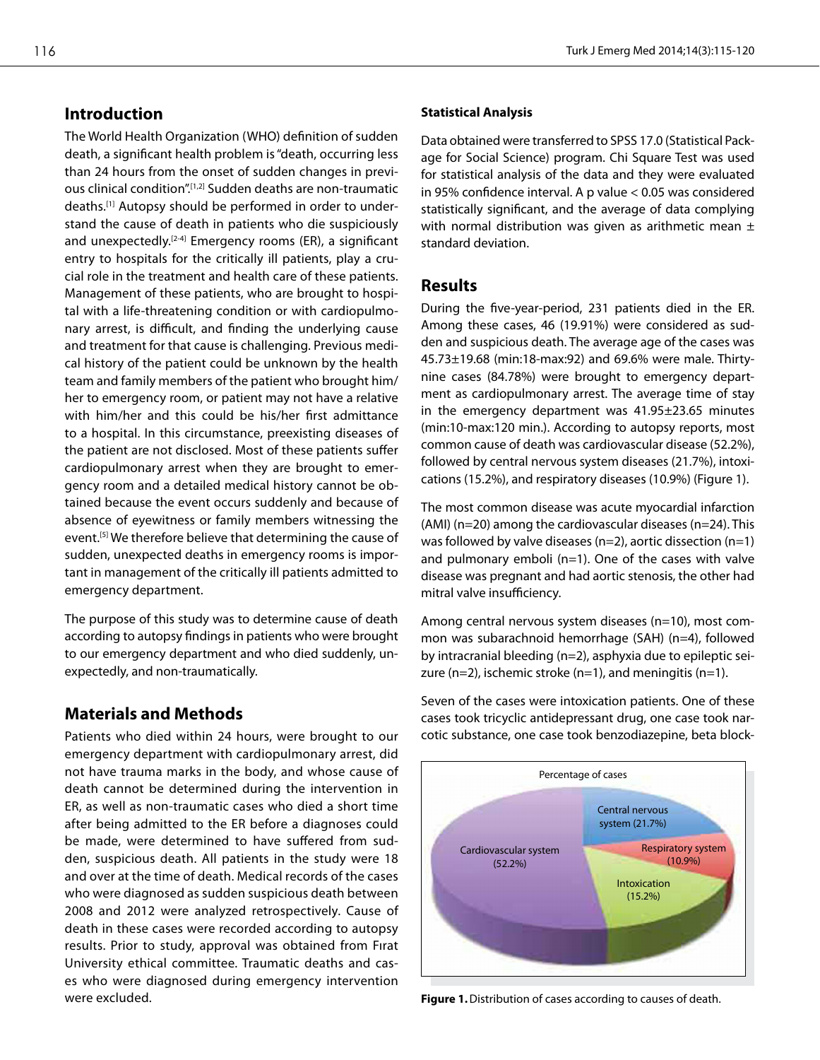# **Introduction**

The World Health Organization (WHO) definition of sudden death, a significant health problem is "death, occurring less than 24 hours from the onset of sudden changes in previous clinical condition".[1,2] Sudden deaths are non-traumatic deaths.<sup>[1]</sup> Autopsy should be performed in order to understand the cause of death in patients who die suspiciously and unexpectedly.<sup>[2-4]</sup> Emergency rooms (ER), a significant entry to hospitals for the critically ill patients, play a crucial role in the treatment and health care of these patients. Management of these patients, who are brought to hospital with a life-threatening condition or with cardiopulmonary arrest, is difficult, and finding the underlying cause and treatment for that cause is challenging. Previous medical history of the patient could be unknown by the health team and family members of the patient who brought him/ her to emergency room, or patient may not have a relative with him/her and this could be his/her first admittance to a hospital. In this circumstance, preexisting diseases of the patient are not disclosed. Most of these patients suffer cardiopulmonary arrest when they are brought to emergency room and a detailed medical history cannot be obtained because the event occurs suddenly and because of absence of eyewitness or family members witnessing the event.[5] We therefore believe that determining the cause of sudden, unexpected deaths in emergency rooms is important in management of the critically ill patients admitted to emergency department.

The purpose of this study was to determine cause of death according to autopsy findings in patients who were brought to our emergency department and who died suddenly, unexpectedly, and non-traumatically.

# **Materials and Methods**

Patients who died within 24 hours, were brought to our emergency department with cardiopulmonary arrest, did not have trauma marks in the body, and whose cause of death cannot be determined during the intervention in ER, as well as non-traumatic cases who died a short time after being admitted to the ER before a diagnoses could be made, were determined to have suffered from sudden, suspicious death. All patients in the study were 18 and over at the time of death. Medical records of the cases who were diagnosed as sudden suspicious death between 2008 and 2012 were analyzed retrospectively. Cause of death in these cases were recorded according to autopsy results. Prior to study, approval was obtained from Fırat University ethical committee. Traumatic deaths and cases who were diagnosed during emergency intervention were excluded.

## **Statistical Analysis**

Data obtained were transferred to SPSS 17.0 (Statistical Package for Social Science) program. Chi Square Test was used for statistical analysis of the data and they were evaluated in 95% confidence interval. A p value < 0.05 was considered statistically significant, and the average of data complying with normal distribution was given as arithmetic mean  $\pm$ standard deviation.

## **Results**

During the five-year-period, 231 patients died in the ER. Among these cases, 46 (19.91%) were considered as sudden and suspicious death. The average age of the cases was 45.73±19.68 (min:18-max:92) and 69.6% were male. Thirtynine cases (84.78%) were brought to emergency department as cardiopulmonary arrest. The average time of stay in the emergency department was 41.95±23.65 minutes (min:10-max:120 min.). According to autopsy reports, most common cause of death was cardiovascular disease (52.2%), followed by central nervous system diseases (21.7%), intoxications (15.2%), and respiratory diseases (10.9%) (Figure 1).

The most common disease was acute myocardial infarction (AMI) (n=20) among the cardiovascular diseases (n=24). This was followed by valve diseases (n=2), aortic dissection (n=1) and pulmonary emboli (n=1). One of the cases with valve disease was pregnant and had aortic stenosis, the other had mitral valve insufficiency.

Among central nervous system diseases (n=10), most common was subarachnoid hemorrhage (SAH) (n=4), followed by intracranial bleeding (n=2), asphyxia due to epileptic seizure (n=2), ischemic stroke (n=1), and meningitis (n=1).

Seven of the cases were intoxication patients. One of these cases took tricyclic antidepressant drug, one case took narcotic substance, one case took benzodiazepine, beta block-

Percentage of cases

Central nervous



**Figure 1.**Distribution of cases according to causes of death.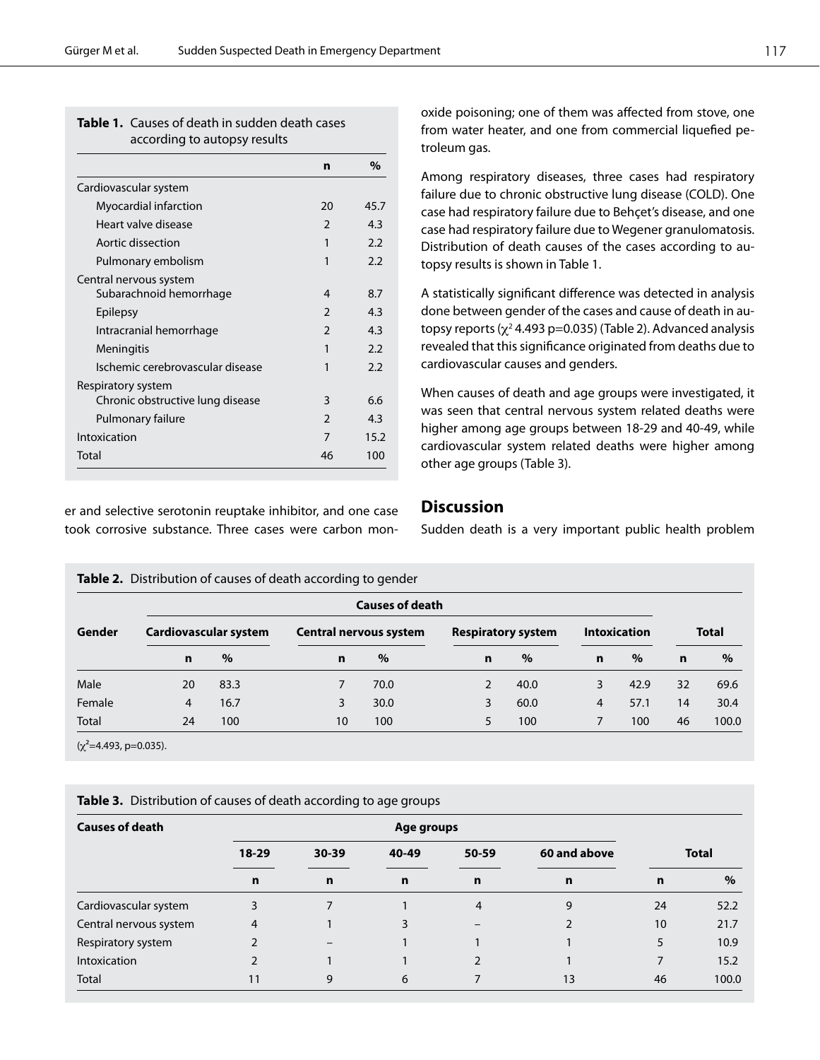|                                                        | n              | $\%$ |
|--------------------------------------------------------|----------------|------|
| Cardiovascular system                                  |                |      |
| Myocardial infarction                                  | 20             | 45.7 |
| Heart valve disease                                    | $\mathcal{P}$  | 4.3  |
| Aortic dissection                                      | 1              | 2.2  |
| Pulmonary embolism                                     | 1              | 2.2  |
| Central nervous system<br>Subarachnoid hemorrhage      | 4              | 8.7  |
| Epilepsy                                               | $\mathcal{P}$  | 4.3  |
| Intracranial hemorrhage                                | $\mathfrak{D}$ | 4.3  |
| Meningitis                                             | 1              | 2.2  |
| Ischemic cerebrovascular disease                       | 1              | 2.2  |
| Respiratory system<br>Chronic obstructive lung disease | 3              | 6.6  |
| Pulmonary failure                                      | $\mathcal{P}$  | 4.3  |
| Intoxication                                           | 7              | 15.2 |
| <b>Total</b>                                           | 46             | 100  |

**Table 1.** Causes of death in sudden death cases according to autopsy results

er and selective serotonin reuptake inhibitor, and one case took corrosive substance. Three cases were carbon monoxide poisoning; one of them was affected from stove, one from water heater, and one from commercial liquefied petroleum gas.

Among respiratory diseases, three cases had respiratory failure due to chronic obstructive lung disease (COLD). One case had respiratory failure due to Behçet's disease, and one case had respiratory failure due to Wegener granulomatosis. Distribution of death causes of the cases according to autopsy results is shown in Table 1.

A statistically significant difference was detected in analysis done between gender of the cases and cause of death in autopsy reports ( $\chi^2$  4.493 p=0.035) (Table 2). Advanced analysis revealed that this significance originated from deaths due to cardiovascular causes and genders.

When causes of death and age groups were investigated, it was seen that central nervous system related deaths were higher among age groups between 18-29 and 40-49, while cardiovascular system related deaths were higher among other age groups (Table 3).

## **Discussion**

Sudden death is a very important public health problem

| <b>Table 2.</b> Distribution of causes of death according to gender |                        |      |                               |      |                           |      |                     |      |              |       |
|---------------------------------------------------------------------|------------------------|------|-------------------------------|------|---------------------------|------|---------------------|------|--------------|-------|
|                                                                     | <b>Causes of death</b> |      |                               |      |                           |      |                     |      |              |       |
| Gender                                                              | Cardiovascular system  |      | <b>Central nervous system</b> |      | <b>Respiratory system</b> |      | <b>Intoxication</b> |      | <b>Total</b> |       |
|                                                                     | n                      | $\%$ | n                             | $\%$ | n                         | $\%$ | $\mathbf n$         | $\%$ | n            | $\%$  |
| Male                                                                | 20                     | 83.3 |                               | 70.0 |                           | 40.0 | 3                   | 42.9 | 32           | 69.6  |
| Female                                                              | 4                      | 16.7 | 3                             | 30.0 | 3                         | 60.0 | 4                   | 57.1 | 14           | 30.4  |
| Total                                                               | 24                     | 100  | 10                            | 100  |                           | 100  |                     | 100  | 46           | 100.0 |

 $(\chi^2=4.493, p=0.035)$ .

**Table 3.** Distribution of causes of death according to age groups

| <b>Causes of death</b> | Age groups     |             |                |             |              |    |              |
|------------------------|----------------|-------------|----------------|-------------|--------------|----|--------------|
|                        | $18-29$        | $30 - 39$   | 50-59<br>40-49 |             | 60 and above |    | <b>Total</b> |
|                        | n              | $\mathbf n$ | $\mathbf n$    | $\mathbf n$ | n            | n  | $\%$         |
| Cardiovascular system  | 3              |             |                | 4           | 9            | 24 | 52.2         |
| Central nervous system | $\overline{4}$ |             |                |             |              | 10 | 21.7         |
| Respiratory system     | C.             |             |                |             |              | 5  | 10.9         |
| Intoxication           |                |             |                |             |              |    | 15.2         |
| Total                  | 11             | 9           | 6              |             | 13           | 46 | 100.0        |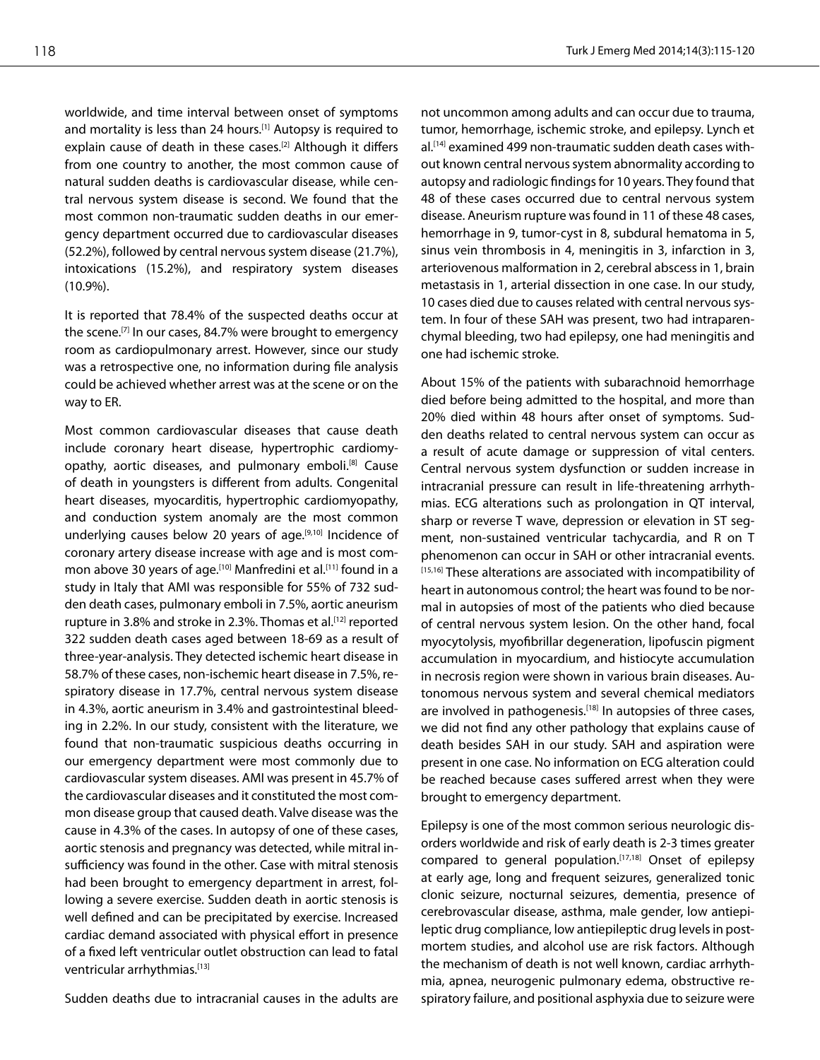worldwide, and time interval between onset of symptoms and mortality is less than 24 hours.[1] Autopsy is required to explain cause of death in these cases.<sup>[2]</sup> Although it differs from one country to another, the most common cause of natural sudden deaths is cardiovascular disease, while central nervous system disease is second. We found that the most common non-traumatic sudden deaths in our emergency department occurred due to cardiovascular diseases (52.2%), followed by central nervous system disease (21.7%), intoxications (15.2%), and respiratory system diseases (10.9%).

It is reported that 78.4% of the suspected deaths occur at the scene.[7] In our cases, 84.7% were brought to emergency room as cardiopulmonary arrest. However, since our study was a retrospective one, no information during file analysis could be achieved whether arrest was at the scene or on the way to ER.

Most common cardiovascular diseases that cause death include coronary heart disease, hypertrophic cardiomyopathy, aortic diseases, and pulmonary emboli.[8] Cause of death in youngsters is different from adults. Congenital heart diseases, myocarditis, hypertrophic cardiomyopathy, and conduction system anomaly are the most common underlying causes below 20 years of age.<sup>[9,10]</sup> Incidence of coronary artery disease increase with age and is most common above 30 years of age.<sup>[10]</sup> Manfredini et al.<sup>[11]</sup> found in a study in Italy that AMI was responsible for 55% of 732 sudden death cases, pulmonary emboli in 7.5%, aortic aneurism rupture in 3.8% and stroke in 2.3%. Thomas et al.<sup>[12]</sup> reported 322 sudden death cases aged between 18-69 as a result of three-year-analysis. They detected ischemic heart disease in 58.7% of these cases, non-ischemic heart disease in 7.5%, respiratory disease in 17.7%, central nervous system disease in 4.3%, aortic aneurism in 3.4% and gastrointestinal bleeding in 2.2%. In our study, consistent with the literature, we found that non-traumatic suspicious deaths occurring in our emergency department were most commonly due to cardiovascular system diseases. AMI was present in 45.7% of the cardiovascular diseases and it constituted the most common disease group that caused death. Valve disease was the cause in 4.3% of the cases. In autopsy of one of these cases, aortic stenosis and pregnancy was detected, while mitral insufficiency was found in the other. Case with mitral stenosis had been brought to emergency department in arrest, following a severe exercise. Sudden death in aortic stenosis is well defined and can be precipitated by exercise. Increased cardiac demand associated with physical effort in presence of a fixed left ventricular outlet obstruction can lead to fatal ventricular arrhythmias.[13]

Sudden deaths due to intracranial causes in the adults are

not uncommon among adults and can occur due to trauma, tumor, hemorrhage, ischemic stroke, and epilepsy. Lynch et al.<sup>[14]</sup> examined 499 non-traumatic sudden death cases without known central nervous system abnormality according to autopsy and radiologic findings for 10 years. They found that 48 of these cases occurred due to central nervous system disease. Aneurism rupture was found in 11 of these 48 cases, hemorrhage in 9, tumor-cyst in 8, subdural hematoma in 5, sinus vein thrombosis in 4, meningitis in 3, infarction in 3, arteriovenous malformation in 2, cerebral abscess in 1, brain metastasis in 1, arterial dissection in one case. In our study, 10 cases died due to causes related with central nervous system. In four of these SAH was present, two had intraparenchymal bleeding, two had epilepsy, one had meningitis and one had ischemic stroke.

About 15% of the patients with subarachnoid hemorrhage died before being admitted to the hospital, and more than 20% died within 48 hours after onset of symptoms. Sudden deaths related to central nervous system can occur as a result of acute damage or suppression of vital centers. Central nervous system dysfunction or sudden increase in intracranial pressure can result in life-threatening arrhythmias. ECG alterations such as prolongation in QT interval, sharp or reverse T wave, depression or elevation in ST segment, non-sustained ventricular tachycardia, and R on T phenomenon can occur in SAH or other intracranial events. [15,16] These alterations are associated with incompatibility of heart in autonomous control; the heart was found to be normal in autopsies of most of the patients who died because of central nervous system lesion. On the other hand, focal myocytolysis, myofibrillar degeneration, lipofuscin pigment accumulation in myocardium, and histiocyte accumulation in necrosis region were shown in various brain diseases. Autonomous nervous system and several chemical mediators are involved in pathogenesis.<sup>[18]</sup> In autopsies of three cases, we did not find any other pathology that explains cause of death besides SAH in our study. SAH and aspiration were present in one case. No information on ECG alteration could be reached because cases suffered arrest when they were brought to emergency department.

Epilepsy is one of the most common serious neurologic disorders worldwide and risk of early death is 2-3 times greater compared to general population.<sup>[17,18]</sup> Onset of epilepsy at early age, long and frequent seizures, generalized tonic clonic seizure, nocturnal seizures, dementia, presence of cerebrovascular disease, asthma, male gender, low antiepileptic drug compliance, low antiepileptic drug levels in postmortem studies, and alcohol use are risk factors. Although the mechanism of death is not well known, cardiac arrhythmia, apnea, neurogenic pulmonary edema, obstructive respiratory failure, and positional asphyxia due to seizure were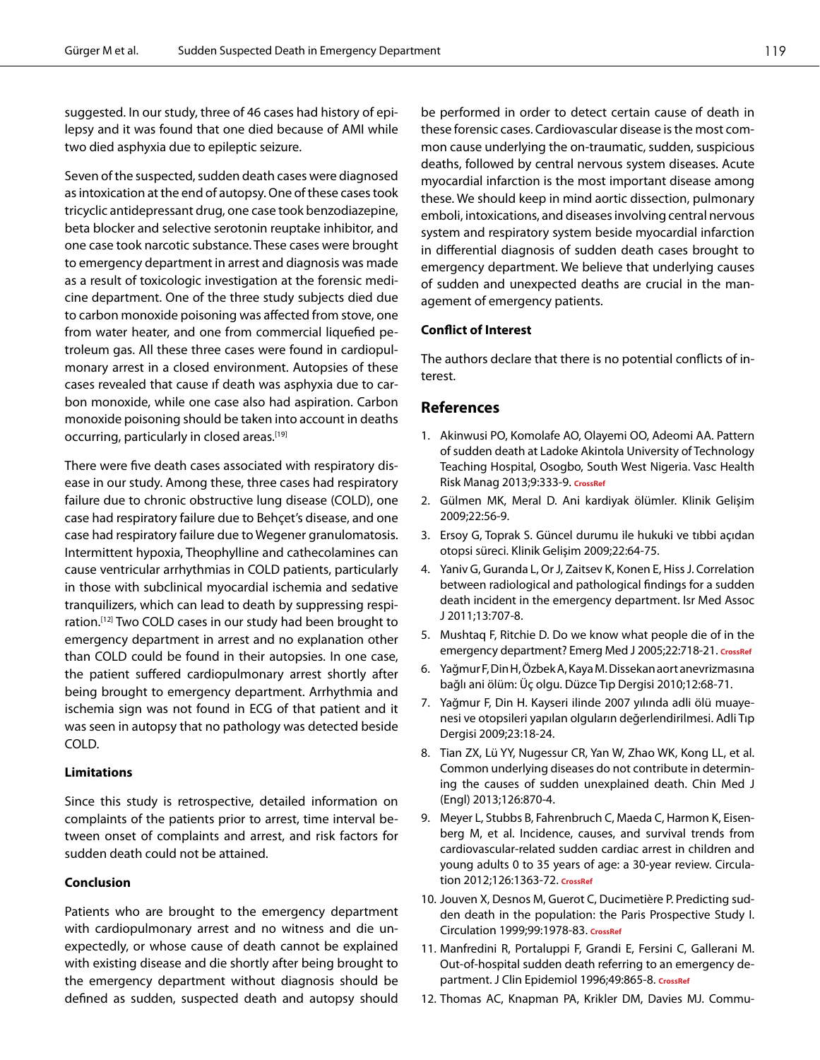suggested. In our study, three of 46 cases had history of epilepsy and it was found that one died because of AMI while two died asphyxia due to epileptic seizure.

Seven of the suspected, sudden death cases were diagnosed as intoxication at the end of autopsy. One of these cases took tricyclic antidepressant drug, one case took benzodiazepine, beta blocker and selective serotonin reuptake inhibitor, and one case took narcotic substance. These cases were brought to emergency department in arrest and diagnosis was made as a result of toxicologic investigation at the forensic medicine department. One of the three study subjects died due to carbon monoxide poisoning was affected from stove, one from water heater, and one from commercial liquefied petroleum gas. All these three cases were found in cardiopulmonary arrest in a closed environment. Autopsies of these cases revealed that cause ıf death was asphyxia due to carbon monoxide, while one case also had aspiration. Carbon monoxide poisoning should be taken into account in deaths occurring, particularly in closed areas.<sup>[19]</sup>

There were five death cases associated with respiratory disease in our study. Among these, three cases had respiratory failure due to chronic obstructive lung disease (COLD), one case had respiratory failure due to Behçet's disease, and one case had respiratory failure due to Wegener granulomatosis. Intermittent hypoxia, Theophylline and cathecolamines can cause ventricular arrhythmias in COLD patients, particularly in those with subclinical myocardial ischemia and sedative tranquilizers, which can lead to death by suppressing respiration.[12] Two COLD cases in our study had been brought to emergency department in arrest and no explanation other than COLD could be found in their autopsies. In one case, the patient suffered cardiopulmonary arrest shortly after being brought to emergency department. Arrhythmia and ischemia sign was not found in ECG of that patient and it was seen in autopsy that no pathology was detected beside COLD.

#### **Limitations**

Since this study is retrospective, detailed information on complaints of the patients prior to arrest, time interval between onset of complaints and arrest, and risk factors for sudden death could not be attained.

#### **Conclusion**

Patients who are brought to the emergency department with cardiopulmonary arrest and no witness and die unexpectedly, or whose cause of death cannot be explained with existing disease and die shortly after being brought to the emergency department without diagnosis should be defined as sudden, suspected death and autopsy should

be performed in order to detect certain cause of death in these forensic cases. Cardiovascular disease is the most common cause underlying the on-traumatic, sudden, suspicious deaths, followed by central nervous system diseases. Acute myocardial infarction is the most important disease among these. We should keep in mind aortic dissection, pulmonary emboli, intoxications, and diseases involving central nervous system and respiratory system beside myocardial infarction in differential diagnosis of sudden death cases brought to emergency department. We believe that underlying causes of sudden and unexpected deaths are crucial in the management of emergency patients.

#### **Conflict of Interest**

The authors declare that there is no potential conflicts of interest.

## **References**

- 1. Akinwusi PO, Komolafe AO, Olayemi OO, Adeomi AA. Pattern of sudden death at Ladoke Akintola University of Technology Teaching Hospital, Osogbo, South West Nigeria. Vasc Health Risk Manag 2013;9:333-9. **[CrossRef](http://dx.doi.org/10.2147/VHRM.S44923)**
- 2. Gülmen MK, Meral D. Ani kardiyak ölümler. Klinik Gelişim 2009;22:56-9.
- 3. Ersoy G, Toprak S. Güncel durumu ile hukuki ve tıbbi açıdan otopsi süreci. Klinik Gelişim 2009;22:64-75.
- 4. Yaniv G, Guranda L, Or J, Zaitsev K, Konen E, Hiss J. Correlation between radiological and pathological findings for a sudden death incident in the emergency department. Isr Med Assoc J 2011;13:707-8.
- 5. Mushtaq F, Ritchie D. Do we know what people die of in the emergency department? Emerg Med J 2005;22:718-21. **[CrossRef](http://dx.doi.org/10.1136/emj.2004.018721)**
- 6. Yağmur F, Din H, Özbek A, Kaya M. Dissekan aort anevrizmasına bağlı ani ölüm: Üç olgu. Düzce Tıp Dergisi 2010;12:68-71.
- 7. Yağmur F, Din H. Kayseri ilinde 2007 yılında adli ölü muayenesi ve otopsileri yapılan olguların değerlendirilmesi. Adli Tıp Dergisi 2009;23:18-24.
- 8. Tian ZX, Lü YY, Nugessur CR, Yan W, Zhao WK, Kong LL, et al. Common underlying diseases do not contribute in determining the causes of sudden unexplained death. Chin Med J (Engl) 2013;126:870-4.
- 9. Meyer L, Stubbs B, Fahrenbruch C, Maeda C, Harmon K, Eisenberg M, et al. Incidence, causes, and survival trends from cardiovascular-related sudden cardiac arrest in children and young adults 0 to 35 years of age: a 30-year review. Circulation 2012;126:1363-72. **[CrossRef](http://dx.doi.org/10.1161/CIRCULATIONAHA.111.076810)**
- 10. Jouven X, Desnos M, Guerot C, Ducimetière P. Predicting sudden death in the population: the Paris Prospective Study I. Circulation 1999;99:1978-83. **[CrossRef](http://dx.doi.org/10.1161/01.CIR.99.15.1978)**
- 11. Manfredini R, Portaluppi F, Grandi E, Fersini C, Gallerani M. Out-of-hospital sudden death referring to an emergency department. J Clin Epidemiol 1996;49:865-8. **[CrossRef](http://dx.doi.org/10.1016/0895-4356(96)00114-X)**
- 12. Thomas AC, Knapman PA, Krikler DM, Davies MJ. Commu-